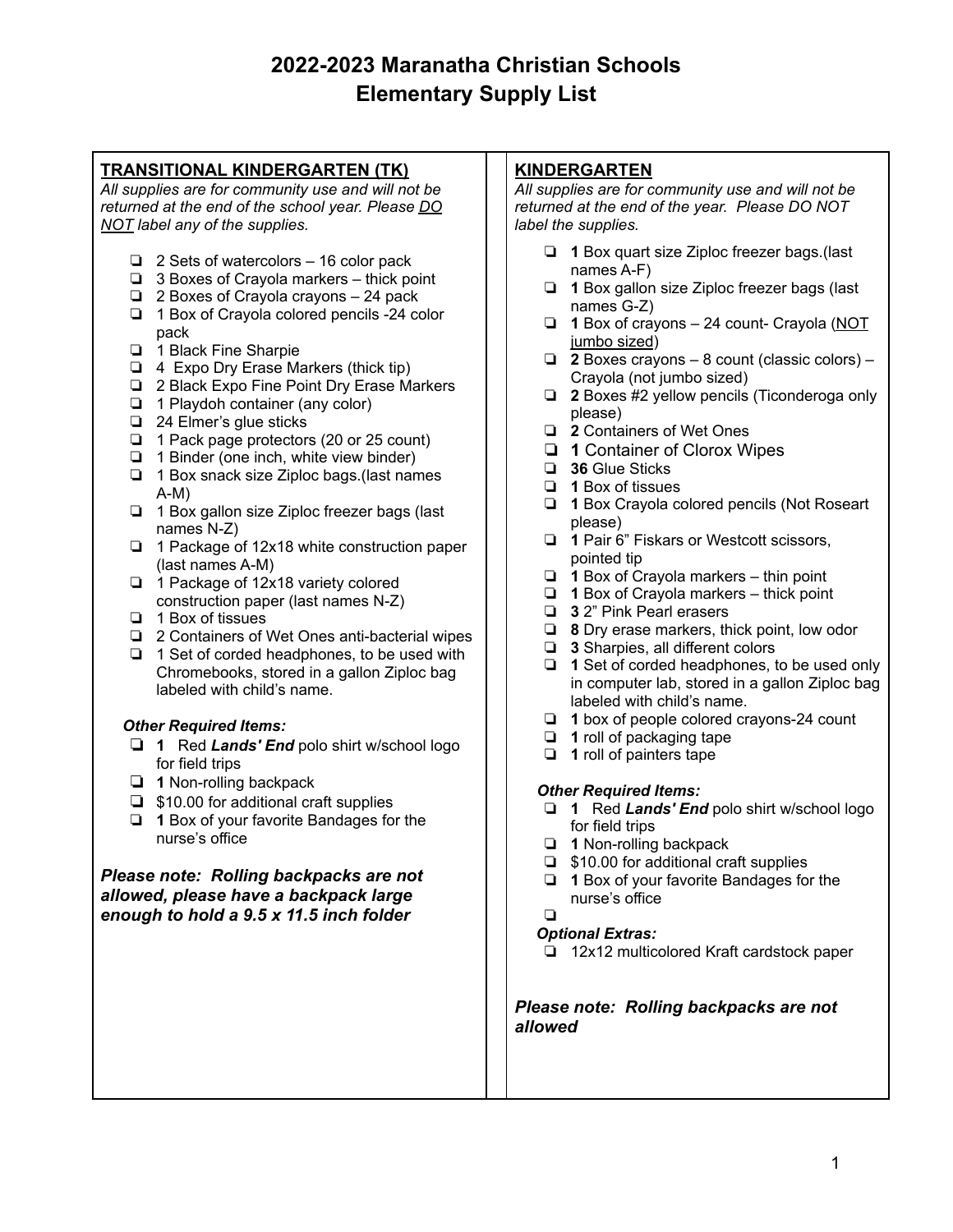# **TRANSITIONAL KINDERGARTEN (TK)**

*All supplies are for community use and will not be returned at the end of the school year. Please DO NOT label any of the supplies.*

- ❏ 2 Sets of watercolors 16 color pack
- ❏ 3 Boxes of Crayola markers thick point
- ❏ 2 Boxes of Crayola crayons 24 pack
- ❏ 1 Box of Crayola colored pencils -24 color pack
- ❏ 1 Black Fine Sharpie
- ❏ 4 Expo Dry Erase Markers (thick tip)
- ❏ 2 Black Expo Fine Point Dry Erase Markers
- ❏ 1 Playdoh container (any color)
- ❏ 24 Elmer's glue sticks
- ❏ 1 Pack page protectors (20 or 25 count)
- ❏ 1 Binder (one inch, white view binder)
- ❏ 1 Box snack size Ziploc bags.(last names A-M)
- ❏ 1 Box gallon size Ziploc freezer bags (last names N-Z)
- ❏ 1 Package of 12x18 white construction paper (last names A-M)
- ❏ 1 Package of 12x18 variety colored construction paper (last names N-Z)
- ❏ 1 Box of tissues
- ❏ 2 Containers of Wet Ones anti-bacterial wipes
- ❏ 1 Set of corded headphones, to be used with Chromebooks, stored in a gallon Ziploc bag labeled with child's name.

### *Other Required Items:*

- ❏ **1** Red *Lands' End* polo shirt w/school logo for field trips
- ❏ **1** Non-rolling backpack
- ❏ \$10.00 for additional craft supplies
- ❏ **1** Box of your favorite Bandages for the nurse's office

## *Please note: Rolling backpacks are not allowed, please have a backpack large enough to hold a 9.5 x 11.5 inch folder*

## **KINDERGARTEN**

*All supplies are for community use and will not be returned at the end of the year. Please DO NOT label the supplies.*

- ❏ **1** Box quart size Ziploc freezer bags.(last names A-F)
- ❏ **1** Box gallon size Ziploc freezer bags (last names G-Z)
- ❏ **1** Box of crayons 24 count- Crayola (NOT jumbo sized)
- ❏ **2** Boxes crayons 8 count (classic colors) Crayola (not jumbo sized)
- ❏ **2** Boxes #2 yellow pencils (Ticonderoga only please)
- ❏ **2** Containers of Wet Ones
- ❏ **1** Container of Clorox Wipes
- ❏ **36** Glue Sticks
- ❏ **1** Box of tissues
- ❏ **1** Box Crayola colored pencils (Not Roseart please)
- ❏ **1** Pair 6" Fiskars or Westcott scissors, pointed tip
- ❏ **1** Box of Crayola markers thin point
- ❏ **1** Box of Crayola markers thick point
- ❏ **3** 2" Pink Pearl erasers
- ❏ **8** Dry erase markers, thick point, low odor
- ❏ **3** Sharpies, all different colors
- ❏ **1** Set of corded headphones, to be used only in computer lab, stored in a gallon Ziploc bag labeled with child's name.
- ❏ **1** box of people colored crayons-24 count
- ❏ **1** roll of packaging tape
- ❏ **1** roll of painters tape

### *Other Required Items:*

- ❏ **1** Red *Lands' End* polo shirt w/school logo for field trips
- ❏ **1** Non-rolling backpack
- ❏ \$10.00 for additional craft supplies
- ❏ **1** Box of your favorite Bandages for the nurse's office
- ❏

# *Optional Extras:*

❏ 12x12 multicolored Kraft cardstock paper

*Please note: Rolling backpacks are not allowed*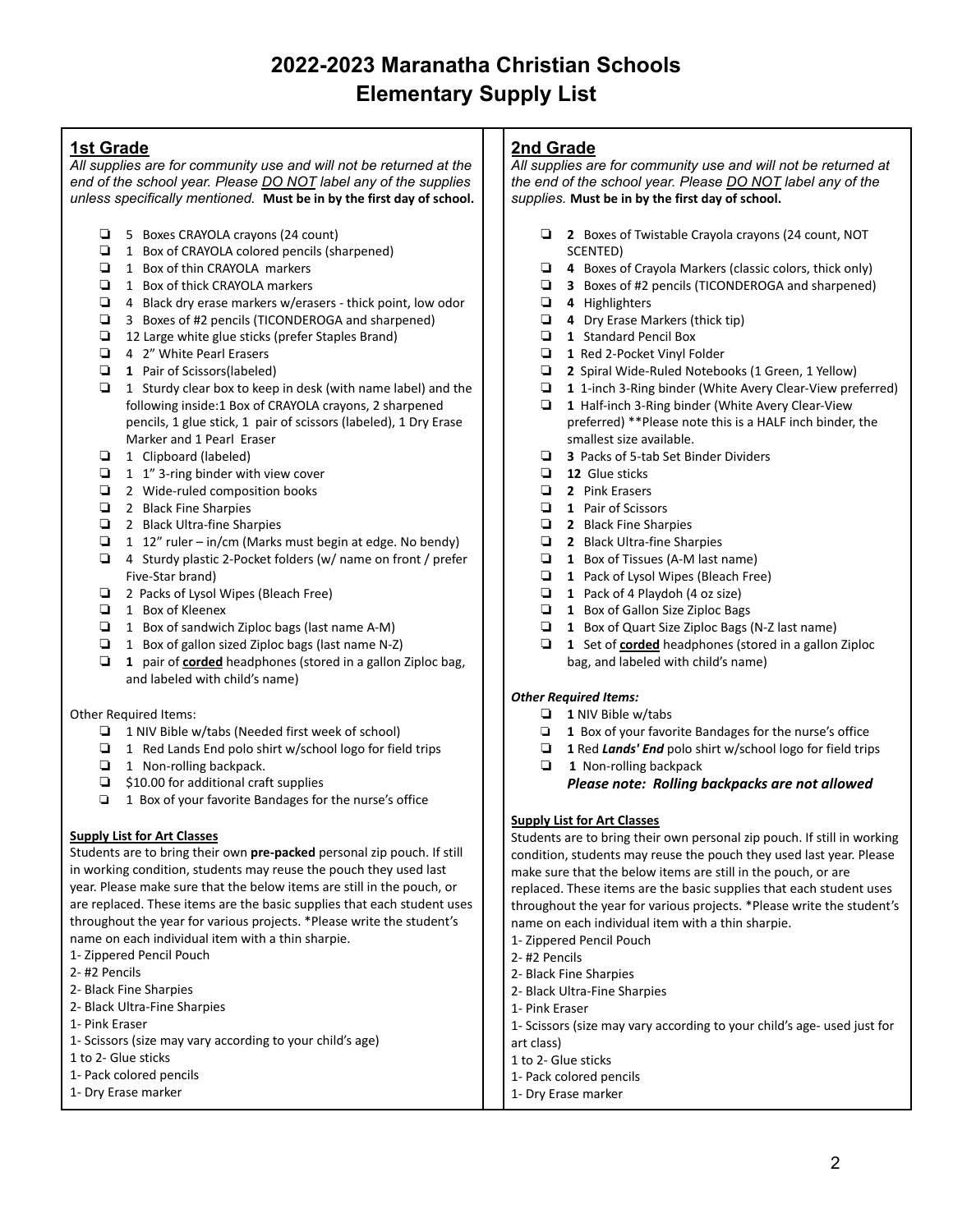## **1st Grade**

*All supplies are for community use and will not be returned at the end of the school year. Please DO NOT label any of the supplies unless specifically mentioned.* **Must be in by the first day of school.**

- ❏ 5 Boxes CRAYOLA crayons (24 count)
- ❏ 1 Box of CRAYOLA colored pencils (sharpened)
- ❏ 1 Box of thin CRAYOLA markers
- ❏ 1 Box of thick CRAYOLA markers
- ❏ 4 Black dry erase markers w/erasers thick point, low odor
- ❏ 3 Boxes of #2 pencils (TICONDEROGA and sharpened)
- ❏ 12 Large white glue sticks (prefer Staples Brand)
- ❏ 4 2" White Pearl Erasers
- ❏ **1** Pair of Scissors(labeled)
- ❏ 1 Sturdy clear box to keep in desk (with name label) and the following inside:1 Box of CRAYOLA crayons, 2 sharpened pencils, 1 glue stick, 1 pair of scissors (labeled), 1 Dry Erase Marker and 1 Pearl Eraser
- ❏ 1 Clipboard (labeled)
- ❏ 1 1" 3-ring binder with view cover
- ❏ 2 Wide-ruled composition books
- ❏ 2 Black Fine Sharpies
- ❏ 2 Black Ultra-fine Sharpies
- ❏ 1 12" ruler in/cm (Marks must begin at edge. No bendy)
- ❏ 4 Sturdy plastic 2-Pocket folders (w/ name on front / prefer Five-Star brand)
- ❏ 2 Packs of Lysol Wipes (Bleach Free)
- ❏ 1 Box of Kleenex
- ❏ 1 Box of sandwich Ziploc bags (last name A-M)
- ❏ 1 Box of gallon sized Ziploc bags (last name N-Z)
- ❏ **1** pair of **corded** headphones (stored in a gallon Ziploc bag, and labeled with child's name)

Other Required Items:

- ❏ 1 NIV Bible w/tabs (Needed first week of school)
- ❏ 1 Red Lands End polo shirt w/school logo for field trips
- ❏ 1 Non-rolling backpack.
- ❏ \$10.00 for additional craft supplies
- ❏ 1 Box of your favorite Bandages for the nurse's office

#### **Supply List for Art Classes**

Students are to bring their own **pre-packed** personal zip pouch. If still in working condition, students may reuse the pouch they used last year. Please make sure that the below items are still in the pouch, or are replaced. These items are the basic supplies that each student uses throughout the year for various projects. \*Please write the student's name on each individual item with a thin sharpie.

- 1- Zippered Pencil Pouch
- 2- #2 Pencils
- 2- Black Fine Sharpies
- 2- Black Ultra-Fine Sharpies
- 1- Pink Eraser
- 1- Scissors (size may vary according to your child's age)
- 1 to 2- Glue sticks
- 1- Pack colored pencils
- 1- Dry Erase marker

### **2nd Grade**

*All supplies are for community use and will not be returned at the end of the school year. Please DO NOT label any of the supplies.* **Must be in by the first day of school.**

- ❏ **2** Boxes of Twistable Crayola crayons (24 count, NOT SCENTED)
- ❏ **4** Boxes of Crayola Markers (classic colors, thick only)
- ❏ **3** Boxes of #2 pencils (TICONDEROGA and sharpened)
- ❏ **4** Highlighters
- ❏ **4** Dry Erase Markers (thick tip)
- ❏ **1** Standard Pencil Box
- ❏ **1** Red 2-Pocket Vinyl Folder
- ❏ **2** Spiral Wide-Ruled Notebooks (1 Green, 1 Yellow)
- ❏ **1** 1-inch 3-Ring binder (White Avery Clear-View preferred)
- ❏ **1** Half-inch 3-Ring binder (White Avery Clear-View preferred) \*\*Please note this is a HALF inch binder, the smallest size available.
- ❏ **3** Packs of 5-tab Set Binder Dividers
- ❏ **12** Glue sticks
- ❏ **2** Pink Erasers
- ❏ **1** Pair of Scissors
- ❏ **2** Black Fine Sharpies
- ❏ **2** Black Ultra-fine Sharpies
- ❏ **1** Box of Tissues (A-M last name)
- ❏ **1** Pack of Lysol Wipes (Bleach Free)
- ❏ **1** Pack of 4 Playdoh (4 oz size)
- ❏ **1** Box of Gallon Size Ziploc Bags
- ❏ **1** Box of Quart Size Ziploc Bags (N-Z last name)
- ❏ **1** Set of **corded** headphones (stored in a gallon Ziploc bag, and labeled with child's name)

#### *Other Required Items:*

- ❏ **1** NIV Bible w/tabs
- ❏ **1** Box of your favorite Bandages for the nurse's office
- ❏ **1** Red *Lands' End* polo shirt w/school logo for field trips
- ❏ **1** Non-rolling backpack
	- *Please note: Rolling backpacks are not allowed*

#### **Supply List for Art Classes**

Students are to bring their own personal zip pouch. If still in working condition, students may reuse the pouch they used last year. Please make sure that the below items are still in the pouch, or are replaced. These items are the basic supplies that each student uses throughout the year for various projects. \*Please write the student's name on each individual item with a thin sharpie.

- 1- Zippered Pencil Pouch
- 2- #2 Pencils
- 2- Black Fine Sharpies
- 2- Black Ultra-Fine Sharpies
- 1- Pink Eraser
- 1- Scissors (size may vary according to your child's age- used just for
- art class)
- 1 to 2- Glue sticks
- 1- Pack colored pencils
- 1- Dry Erase marker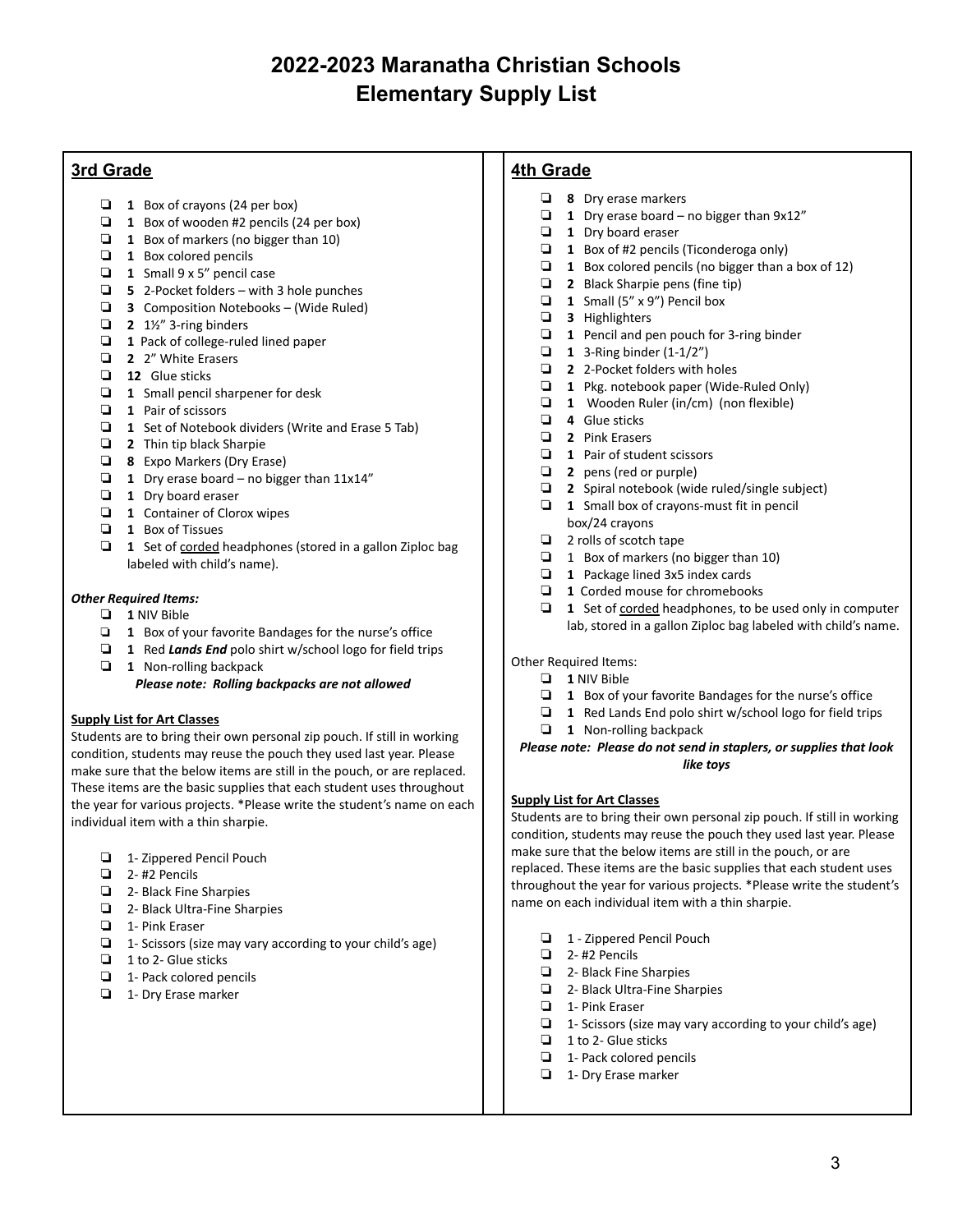# **3rd Grade**

- ❏ **1** Box of crayons (24 per box)
- ❏ **1** Box of wooden #2 pencils (24 per box)
- ❏ **1** Box of markers (no bigger than 10)
- ❏ **1** Box colored pencils
- ❏ **1** Small 9 x 5" pencil case
- ❏ **5** 2-Pocket folders with 3 hole punches
- ❏ **3** Composition Notebooks (Wide Ruled)
- ❏ **2** 1½" 3-ring binders
- ❏ **1** Pack of college-ruled lined paper
- ❏ **2** 2" White Erasers
- ❏ **12** Glue sticks
- ❏ **1** Small pencil sharpener for desk
- ❏ **1** Pair of scissors
- ❏ **1** Set of Notebook dividers (Write and Erase 5 Tab)
- ❏ **2** Thin tip black Sharpie
- ❏ **8** Expo Markers (Dry Erase)
- ❏ **1** Dry erase board no bigger than 11x14"
- ❏ **1** Dry board eraser
- ❏ **1** Container of Clorox wipes
- ❏ **1** Box of Tissues
- ❏ **1** Set of corded headphones (stored in a gallon Ziploc bag labeled with child's name).

#### *Other Required Items:*

- ❏ **1** NIV Bible
- ❏ **1** Box of your favorite Bandages for the nurse's office
- ❏ **1** Red *Lands End* polo shirt w/school logo for field trips
- ❏ **1** Non-rolling backpack

#### *Please note: Rolling backpacks are not allowed*

#### **Supply List for Art Classes**

Students are to bring their own personal zip pouch. If still in working condition, students may reuse the pouch they used last year. Please make sure that the below items are still in the pouch, or are replaced. These items are the basic supplies that each student uses throughout the year for various projects. \*Please write the student's name on each individual item with a thin sharpie.

- ❏ 1- Zippered Pencil Pouch
- ❏ 2- #2 Pencils
- ❏ 2- Black Fine Sharpies
- ❏ 2- Black Ultra-Fine Sharpies
- ❏ 1- Pink Eraser
- ❏ 1- Scissors (size may vary according to your child's age)
- ❏ 1 to 2- Glue sticks
- ❏ 1- Pack colored pencils
- ❏ 1- Dry Erase marker

## **4th Grade**

- ❏ **8** Dry erase markers
- ❏ **1** Dry erase board no bigger than 9x12"
- ❏ **1** Dry board eraser
- ❏ **1** Box of #2 pencils (Ticonderoga only)
- ❏ **1** Box colored pencils (no bigger than a box of 12)
- ❏ **2** Black Sharpie pens (fine tip)
- ❏ **1** Small (5" x 9") Pencil box
- ❏ **3** Highlighters
- ❏ **1** Pencil and pen pouch for 3-ring binder
- ❏ **1** 3-Ring binder (1-1/2")
- ❏ **2** 2-Pocket folders with holes
- ❏ **1** Pkg. notebook paper (Wide-Ruled Only)
- ❏ **1** Wooden Ruler (in/cm) (non flexible)
- ❏ **4** Glue sticks
- ❏ **2** Pink Erasers
- ❏ **1** Pair of student scissors
- ❏ **2** pens (red or purple)
- ❏ **2** Spiral notebook (wide ruled/single subject)
- ❏ **1** Small box of crayons-must fit in pencil box/24 crayons
- ❏ 2 rolls of scotch tape
- ❏ 1 Box of markers (no bigger than 10)
- ❏ **1** Package lined 3x5 index cards
- ❏ **1** Corded mouse for chromebooks
- ❏ **1** Set of corded headphones, to be used only in computer lab, stored in a gallon Ziploc bag labeled with child's name.

Other Required Items:

- ❏ **1** NIV Bible
- ❏ **1** Box of your favorite Bandages for the nurse's office
- ❏ **1** Red Lands End polo shirt w/school logo for field trips
- ❏ **1** Non-rolling backpack

*Please note: Please do not send in staplers, or supplies that look like toys*

### **Supply List for Art Classes**

Students are to bring their own personal zip pouch. If still in working condition, students may reuse the pouch they used last year. Please make sure that the below items are still in the pouch, or are replaced. These items are the basic supplies that each student uses throughout the year for various projects. \*Please write the student's name on each individual item with a thin sharpie.

- ❏ 1 Zippered Pencil Pouch
- ❏ 2- #2 Pencils
- ❏ 2- Black Fine Sharpies
- ❏ 2- Black Ultra-Fine Sharpies
- ❏ 1- Pink Eraser
- ❏ 1- Scissors (size may vary according to your child's age)
- ❏ 1 to 2- Glue sticks
- ❏ 1- Pack colored pencils
- ❏ 1- Dry Erase marker